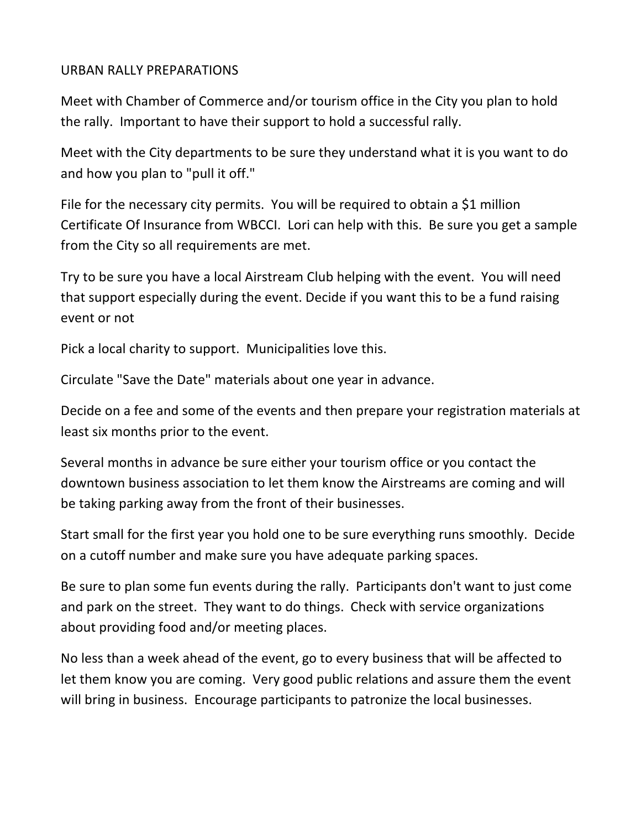## URBAN RALLY PREPARATIONS

Meet with Chamber of Commerce and/or tourism office in the City you plan to hold the rally. Important to have their support to hold a successful rally.

Meet with the City departments to be sure they understand what it is you want to do and how you plan to "pull it off."

File for the necessary city permits. You will be required to obtain a \$1 million Certificate Of Insurance from WBCCI. Lori can help with this. Be sure you get a sample from the City so all requirements are met.

Try to be sure you have a local Airstream Club helping with the event. You will need that support especially during the event. Decide if you want this to be a fund raising event or not

Pick a local charity to support. Municipalities love this.

Circulate "Save the Date" materials about one year in advance.

Decide on a fee and some of the events and then prepare your registration materials at least six months prior to the event.

Several months in advance be sure either your tourism office or you contact the downtown business association to let them know the Airstreams are coming and will be taking parking away from the front of their businesses.

Start small for the first year you hold one to be sure everything runs smoothly. Decide on a cutoff number and make sure you have adequate parking spaces.

Be sure to plan some fun events during the rally. Participants don't want to just come and park on the street. They want to do things. Check with service organizations about providing food and/or meeting places.

No less than a week ahead of the event, go to every business that will be affected to let them know you are coming. Very good public relations and assure them the event will bring in business. Encourage participants to patronize the local businesses.